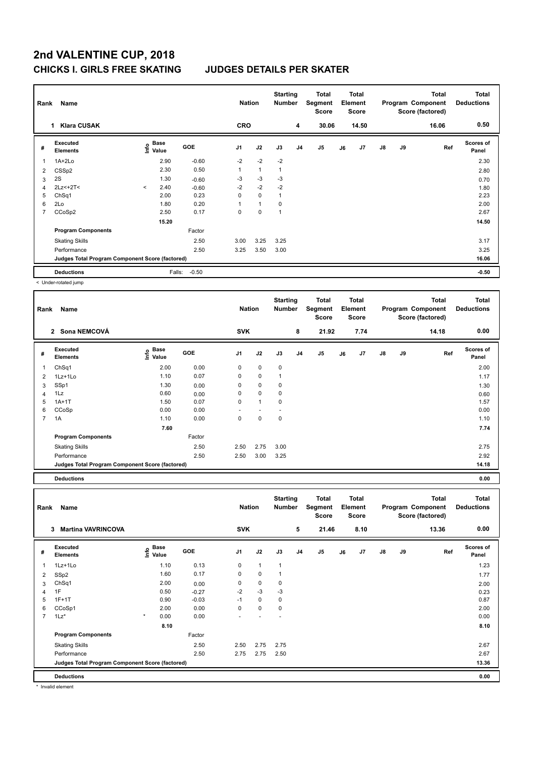# **2nd VALENTINE CUP, 2018 CHICKS I. GIRLS FREE SKATING JUDGES DETAILS PER SKATER**

| Name<br>Rank |                                                 |         |                                  |            |                | <b>Nation</b> |      | <b>Starting</b><br><b>Number</b> | <b>Total</b><br>Segment<br><b>Score</b> | <b>Total</b><br>Element<br><b>Score</b> |       | Program Component |    | <b>Total</b><br>Score (factored) | <b>Total</b><br><b>Deductions</b> |
|--------------|-------------------------------------------------|---------|----------------------------------|------------|----------------|---------------|------|----------------------------------|-----------------------------------------|-----------------------------------------|-------|-------------------|----|----------------------------------|-----------------------------------|
|              | <b>Klara CUSAK</b><br>1                         |         |                                  |            | <b>CRO</b>     |               |      | 4                                | 30.06                                   |                                         | 14.50 |                   |    | 16.06                            | 0.50                              |
| #            | Executed<br><b>Elements</b>                     |         | <b>Base</b><br>e Base<br>E Value | <b>GOE</b> | J <sub>1</sub> | J2            | J3   | J <sub>4</sub>                   | J <sub>5</sub>                          | J6                                      | J7    | J8                | J9 | Ref                              | <b>Scores of</b><br>Panel         |
| 1            | $1A+2Lo$                                        |         | 2.90                             | $-0.60$    | $-2$           | $-2$          | $-2$ |                                  |                                         |                                         |       |                   |    |                                  | 2.30                              |
| 2            | CSS <sub>p2</sub>                               |         | 2.30                             | 0.50       | $\mathbf{1}$   | $\mathbf{1}$  | 1    |                                  |                                         |                                         |       |                   |    |                                  | 2.80                              |
| 3            | 2S                                              |         | 1.30                             | $-0.60$    | $-3$           | $-3$          | $-3$ |                                  |                                         |                                         |       |                   |    |                                  | 0.70                              |
| 4            | $2Lz<+2T<$                                      | $\prec$ | 2.40                             | $-0.60$    | $-2$           | $-2$          | $-2$ |                                  |                                         |                                         |       |                   |    |                                  | 1.80                              |
| 5            | Ch <sub>Sq1</sub>                               |         | 2.00                             | 0.23       | 0              | $\mathbf 0$   | 1    |                                  |                                         |                                         |       |                   |    |                                  | 2.23                              |
| 6            | 2Lo                                             |         | 1.80                             | 0.20       | 1              | 1             | 0    |                                  |                                         |                                         |       |                   |    |                                  | 2.00                              |
| 7            | CCoSp2                                          |         | 2.50                             | 0.17       | 0              | 0             | 1    |                                  |                                         |                                         |       |                   |    |                                  | 2.67                              |
|              |                                                 |         | 15.20                            |            |                |               |      |                                  |                                         |                                         |       |                   |    |                                  | 14.50                             |
|              | <b>Program Components</b>                       |         |                                  | Factor     |                |               |      |                                  |                                         |                                         |       |                   |    |                                  |                                   |
|              | <b>Skating Skills</b>                           |         |                                  | 2.50       | 3.00           | 3.25          | 3.25 |                                  |                                         |                                         |       |                   |    |                                  | 3.17                              |
|              | Performance                                     |         |                                  | 2.50       | 3.25           | 3.50          | 3.00 |                                  |                                         |                                         |       |                   |    |                                  | 3.25                              |
|              | Judges Total Program Component Score (factored) |         |                                  |            |                |               |      |                                  |                                         |                                         |       |                   |    |                                  | 16.06                             |
|              | <b>Deductions</b>                               |         | Falls:                           | $-0.50$    |                |               |      |                                  |                                         |                                         |       |                   |    |                                  | $-0.50$                           |

< Under-rotated jump

| Rank           | Name                                            |                              |        | <b>Nation</b>  |              | <b>Starting</b><br><b>Number</b> |                | Total<br>Segment<br>Score |    | <b>Total</b><br>Element<br><b>Score</b> |               |    | <b>Total</b><br>Program Component<br>Score (factored) | <b>Total</b><br><b>Deductions</b> |
|----------------|-------------------------------------------------|------------------------------|--------|----------------|--------------|----------------------------------|----------------|---------------------------|----|-----------------------------------------|---------------|----|-------------------------------------------------------|-----------------------------------|
|                | 2 Sona NEMCOVÁ                                  |                              |        | <b>SVK</b>     |              |                                  | 8              | 21.92                     |    | 7.74                                    |               |    | 14.18                                                 | 0.00                              |
| #              | Executed<br><b>Elements</b>                     | <b>Base</b><br>lnfo<br>Value | GOE    | J <sub>1</sub> | J2           | J3                               | J <sub>4</sub> | J5                        | J6 | J7                                      | $\mathsf{J}8$ | J9 | Ref                                                   | Scores of<br>Panel                |
|                | ChSq1                                           | 2.00                         | 0.00   | 0              | $\mathbf 0$  | $\mathbf 0$                      |                |                           |    |                                         |               |    |                                                       | 2.00                              |
| 2              | 1Lz+1Lo                                         | 1.10                         | 0.07   | 0              | 0            | 1                                |                |                           |    |                                         |               |    |                                                       | 1.17                              |
| 3              | SSp1                                            | 1.30                         | 0.00   | 0              | 0            | 0                                |                |                           |    |                                         |               |    |                                                       | 1.30                              |
| 4              | 1Lz                                             | 0.60                         | 0.00   | 0              | 0            | $\mathbf 0$                      |                |                           |    |                                         |               |    |                                                       | 0.60                              |
| 5              | $1A+1T$                                         | 1.50                         | 0.07   | $\mathbf 0$    | $\mathbf{1}$ | $\mathbf 0$                      |                |                           |    |                                         |               |    |                                                       | 1.57                              |
| 6              | CCoSp                                           | 0.00                         | 0.00   |                |              |                                  |                |                           |    |                                         |               |    |                                                       | 0.00                              |
| $\overline{7}$ | 1A                                              | 1.10                         | 0.00   | 0              | 0            | $\mathbf 0$                      |                |                           |    |                                         |               |    |                                                       | 1.10                              |
|                |                                                 | 7.60                         |        |                |              |                                  |                |                           |    |                                         |               |    |                                                       | 7.74                              |
|                | <b>Program Components</b>                       |                              | Factor |                |              |                                  |                |                           |    |                                         |               |    |                                                       |                                   |
|                | <b>Skating Skills</b>                           |                              | 2.50   | 2.50           | 2.75         | 3.00                             |                |                           |    |                                         |               |    |                                                       | 2.75                              |
|                | Performance                                     |                              | 2.50   | 2.50           | 3.00         | 3.25                             |                |                           |    |                                         |               |    |                                                       | 2.92                              |
|                | Judges Total Program Component Score (factored) |                              |        |                |              |                                  |                |                           |    |                                         |               |    |                                                       | 14.18                             |
|                | <b>Deductions</b>                               |                              |        |                |              |                                  |                |                           |    |                                         |               |    |                                                       | 0.00                              |

**Total Deductions Total Program Component Score (factored) Total Element Segment Score Total Score Starting Rank Name Nation Number # Executed Elements Base Value GOE J1 J2 J3 J4 J5 J6 J7 J8 J9 Scores of Panel** 1 1.10 0.13 0 1 1 **Ref**  1Lz+1Lo 1.23 **Info 3 Martina VAVRINCOVA SVK 5 21.46 8.10 13.36 0.00** 2 SSp2 1.60 0.17 0 0 1 1.77 3 ChSq1 2.00 0.00 0 0 0 2.00 4 1F 0.50 -0.27 -2 -3 -3 0.23 5 1F+1T 0.90 -0.03 -1 0 0 0.87 6 CCoSp1 2.00 0.00 0 0 0 2.00 7 1Lz\* \* 0.00 0.00 - - - 0.00 **8.10 8.10 Program Components**  Skating Skills **2.50** 2.50 2.75 2.75 Factor 2.50 2.67 Performance 2.50 2.75 2.75 2.50 2.67 **Deductions 0.00 Judges Total Program Component Score (factored) 13.36**

Invalid element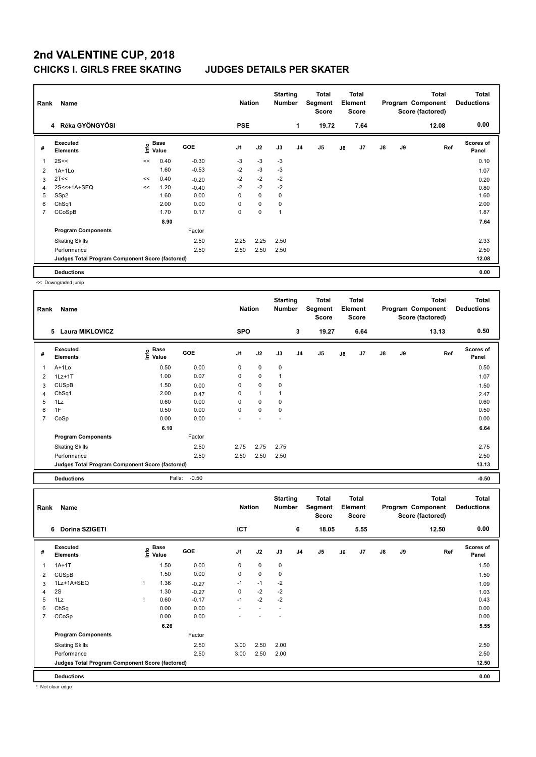## **2nd VALENTINE CUP, 2018 CHICKS I. GIRLS FREE SKATING JUDGES DETAILS PER SKATER**

| Name<br>Rank |                                                 |    |               |            |                | <b>Nation</b> |      | <b>Starting</b><br><b>Number</b> | <b>Total</b><br>Segment<br><b>Score</b> | <b>Total</b><br>Element<br><b>Score</b> |      |               |    | <b>Total</b><br>Program Component<br>Score (factored) | <b>Total</b><br><b>Deductions</b> |
|--------------|-------------------------------------------------|----|---------------|------------|----------------|---------------|------|----------------------------------|-----------------------------------------|-----------------------------------------|------|---------------|----|-------------------------------------------------------|-----------------------------------|
|              | 4 Réka GYÖNGYÖSI                                |    |               |            | <b>PSE</b>     |               |      | 1                                | 19.72                                   |                                         | 7.64 |               |    | 12.08                                                 | 0.00                              |
| #            | Executed<br><b>Elements</b>                     | ۴ů | Base<br>Value | <b>GOE</b> | J <sub>1</sub> | J2            | J3   | J <sub>4</sub>                   | J <sub>5</sub>                          | J6                                      | J7   | $\mathsf{J}8$ | J9 | Ref                                                   | <b>Scores of</b><br>Panel         |
|              | 2S<<                                            | << | 0.40          | $-0.30$    | -3             | $-3$          | $-3$ |                                  |                                         |                                         |      |               |    |                                                       | 0.10                              |
| 2            | $1A+1Lo$                                        |    | 1.60          | $-0.53$    | $-2$           | $-3$          | $-3$ |                                  |                                         |                                         |      |               |    |                                                       | 1.07                              |
| 3            | 2T<<                                            | << | 0.40          | $-0.20$    | $-2$           | $-2$          | $-2$ |                                  |                                         |                                         |      |               |    |                                                       | 0.20                              |
| 4            | 2S<<+1A+SEQ                                     | << | 1.20          | $-0.40$    | $-2$           | $-2$          | $-2$ |                                  |                                         |                                         |      |               |    |                                                       | 0.80                              |
| 5            | SSp2                                            |    | 1.60          | 0.00       | 0              | $\mathbf 0$   | 0    |                                  |                                         |                                         |      |               |    |                                                       | 1.60                              |
| 6            | ChSq1                                           |    | 2.00          | 0.00       | 0              | $\mathbf 0$   | 0    |                                  |                                         |                                         |      |               |    |                                                       | 2.00                              |
| 7            | CCoSpB                                          |    | 1.70          | 0.17       | 0              | $\mathbf 0$   |      |                                  |                                         |                                         |      |               |    |                                                       | 1.87                              |
|              |                                                 |    | 8.90          |            |                |               |      |                                  |                                         |                                         |      |               |    |                                                       | 7.64                              |
|              | <b>Program Components</b>                       |    |               | Factor     |                |               |      |                                  |                                         |                                         |      |               |    |                                                       |                                   |
|              | <b>Skating Skills</b>                           |    |               | 2.50       | 2.25           | 2.25          | 2.50 |                                  |                                         |                                         |      |               |    |                                                       | 2.33                              |
|              | Performance                                     |    |               | 2.50       | 2.50           | 2.50          | 2.50 |                                  |                                         |                                         |      |               |    |                                                       | 2.50                              |
|              | Judges Total Program Component Score (factored) |    |               |            |                |               |      |                                  |                                         |                                         |      |               |    |                                                       | 12.08                             |
|              | <b>Deductions</b>                               |    |               |            |                |               |      |                                  |                                         |                                         |      |               |    |                                                       | 0.00                              |

<< Downgraded jump

| Rank           | Name                                            |                       |         | <b>Nation</b>  |              | <b>Starting</b><br><b>Number</b> |                | Total<br>Segment<br>Score |    | <b>Total</b><br>Element<br><b>Score</b> |               |    | <b>Total</b><br>Program Component<br>Score (factored) | <b>Total</b><br><b>Deductions</b> |
|----------------|-------------------------------------------------|-----------------------|---------|----------------|--------------|----------------------------------|----------------|---------------------------|----|-----------------------------------------|---------------|----|-------------------------------------------------------|-----------------------------------|
|                | 5 Laura MIKLOVICZ                               |                       |         | <b>SPO</b>     |              |                                  | 3              | 19.27                     |    | 6.64                                    |               |    | 13.13                                                 | 0.50                              |
| #              | Executed<br><b>Elements</b>                     | Base<br>lnfo<br>Value | GOE     | J <sub>1</sub> | J2           | J3                               | J <sub>4</sub> | J <sub>5</sub>            | J6 | J7                                      | $\mathsf{J}8$ | J9 | Ref                                                   | <b>Scores of</b><br>Panel         |
| 1              | A+1Lo                                           | 0.50                  | 0.00    | 0              | $\mathbf 0$  | $\mathbf 0$                      |                |                           |    |                                         |               |    |                                                       | 0.50                              |
| 2              | $1Lz+1T$                                        | 1.00                  | 0.07    | 0              | 0            |                                  |                |                           |    |                                         |               |    |                                                       | 1.07                              |
| 3              | <b>CUSpB</b>                                    | 1.50                  | 0.00    | 0              | 0            | 0                                |                |                           |    |                                         |               |    |                                                       | 1.50                              |
| 4              | ChSq1                                           | 2.00                  | 0.47    | 0              | $\mathbf{1}$ |                                  |                |                           |    |                                         |               |    |                                                       | 2.47                              |
| 5              | 1Lz                                             | 0.60                  | 0.00    | 0              | 0            | 0                                |                |                           |    |                                         |               |    |                                                       | 0.60                              |
| 6              | 1F                                              | 0.50                  | 0.00    | 0              | $\mathbf 0$  | 0                                |                |                           |    |                                         |               |    |                                                       | 0.50                              |
| $\overline{7}$ | CoSp                                            | 0.00                  | 0.00    |                |              |                                  |                |                           |    |                                         |               |    |                                                       | 0.00                              |
|                |                                                 | 6.10                  |         |                |              |                                  |                |                           |    |                                         |               |    |                                                       | 6.64                              |
|                | <b>Program Components</b>                       |                       | Factor  |                |              |                                  |                |                           |    |                                         |               |    |                                                       |                                   |
|                | <b>Skating Skills</b>                           |                       | 2.50    | 2.75           | 2.75         | 2.75                             |                |                           |    |                                         |               |    |                                                       | 2.75                              |
|                | Performance                                     |                       | 2.50    | 2.50           | 2.50         | 2.50                             |                |                           |    |                                         |               |    |                                                       | 2.50                              |
|                | Judges Total Program Component Score (factored) |                       |         |                |              |                                  |                |                           |    |                                         |               |    |                                                       | 13.13                             |
|                | <b>Deductions</b>                               | Falls:                | $-0.50$ |                |              |                                  |                |                           |    |                                         |               |    |                                                       | $-0.50$                           |

| Name<br>Rank |                                                 |  |                                  |            | <b>Nation</b> |                          | <b>Starting</b><br><b>Number</b> |    | Total<br>Segment<br><b>Score</b> | Total<br>Element<br><b>Score</b> |                |               |    | <b>Total</b><br>Program Component<br>Score (factored) | Total<br><b>Deductions</b> |
|--------------|-------------------------------------------------|--|----------------------------------|------------|---------------|--------------------------|----------------------------------|----|----------------------------------|----------------------------------|----------------|---------------|----|-------------------------------------------------------|----------------------------|
|              | <b>Dorina SZIGETI</b><br>6                      |  |                                  |            | <b>ICT</b>    |                          |                                  | 6  | 18.05                            |                                  | 5.55           |               |    | 12.50                                                 | 0.00                       |
| #            | <b>Executed</b><br><b>Elements</b>              |  | <b>Base</b><br>o Base<br>⊆ Value | <b>GOE</b> | J1            | J2                       | J3                               | J4 | J5                               | J6                               | J <sub>7</sub> | $\mathsf{J}8$ | J9 | Ref                                                   | <b>Scores of</b><br>Panel  |
| 1            | $1A+1T$                                         |  | 1.50                             | 0.00       | 0             | $\mathbf 0$              | 0                                |    |                                  |                                  |                |               |    |                                                       | 1.50                       |
| 2            | <b>CUSpB</b>                                    |  | 1.50                             | 0.00       | 0             | $\pmb{0}$                | 0                                |    |                                  |                                  |                |               |    |                                                       | 1.50                       |
| 3            | 1Lz+1A+SEQ                                      |  | 1.36                             | $-0.27$    | $-1$          | $-1$                     | $-2$                             |    |                                  |                                  |                |               |    |                                                       | 1.09                       |
| 4            | 2S                                              |  | 1.30                             | $-0.27$    | 0             | $-2$                     | $-2$                             |    |                                  |                                  |                |               |    |                                                       | 1.03                       |
| 5            | 1Lz                                             |  | 0.60                             | $-0.17$    | $-1$          | $-2$                     | $-2$                             |    |                                  |                                  |                |               |    |                                                       | 0.43                       |
| 6            | ChSq                                            |  | 0.00                             | 0.00       | ٠             | $\overline{\phantom{a}}$ | $\overline{\phantom{a}}$         |    |                                  |                                  |                |               |    |                                                       | 0.00                       |
| 7            | CCoSp                                           |  | 0.00                             | 0.00       |               |                          |                                  |    |                                  |                                  |                |               |    |                                                       | 0.00                       |
|              |                                                 |  | 6.26                             |            |               |                          |                                  |    |                                  |                                  |                |               |    |                                                       | 5.55                       |
|              | <b>Program Components</b>                       |  |                                  | Factor     |               |                          |                                  |    |                                  |                                  |                |               |    |                                                       |                            |
|              | <b>Skating Skills</b>                           |  |                                  | 2.50       | 3.00          | 2.50                     | 2.00                             |    |                                  |                                  |                |               |    |                                                       | 2.50                       |
|              | Performance                                     |  |                                  | 2.50       | 3.00          | 2.50                     | 2.00                             |    |                                  |                                  |                |               |    |                                                       | 2.50                       |
|              | Judges Total Program Component Score (factored) |  |                                  |            |               |                          |                                  |    |                                  |                                  |                |               |    |                                                       | 12.50                      |
|              | <b>Deductions</b>                               |  |                                  |            |               |                          |                                  |    |                                  |                                  |                |               |    |                                                       | 0.00                       |

! Not clear edge